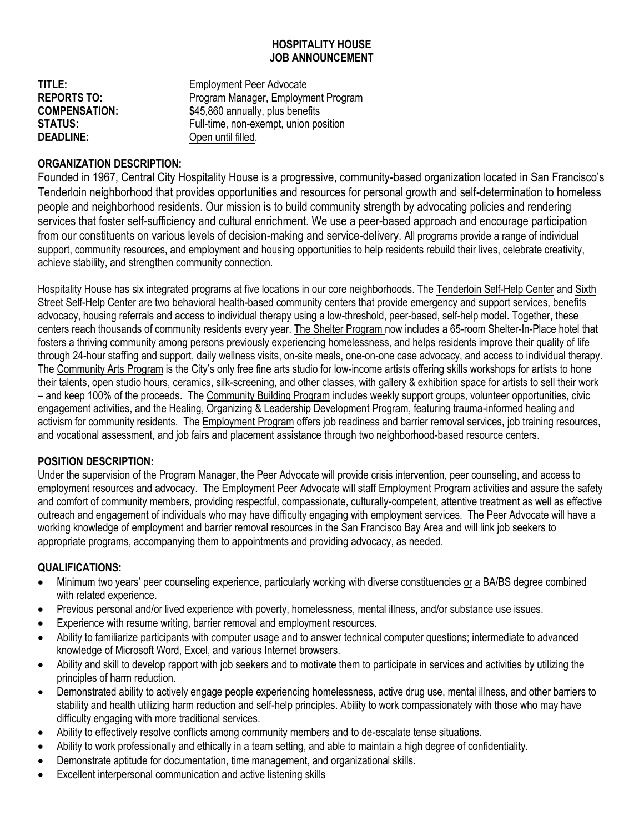#### **HOSPITALITY HOUSE JOB ANNOUNCEMENT**

| TITLE:               | <b>Employment Peer Advocate</b>       |
|----------------------|---------------------------------------|
| <b>REPORTS TO:</b>   | Program Manager, Employment Program   |
| <b>COMPENSATION:</b> | \$45,860 annually, plus benefits      |
| STATUS:              | Full-time, non-exempt, union position |
| <b>DEADLINE:</b>     | Open until filled.                    |

# **ORGANIZATION DESCRIPTION:**

Founded in 1967, Central City Hospitality House is a progressive, community-based organization located in San Francisco's Tenderloin neighborhood that provides opportunities and resources for personal growth and self-determination to homeless people and neighborhood residents. Our mission is to build community strength by advocating policies and rendering services that foster self-sufficiency and cultural enrichment. We use a peer-based approach and encourage participation from our constituents on various levels of decision-making and service-delivery. All programs provide a range of individual support, community resources, and employment and housing opportunities to help residents rebuild their lives, celebrate creativity, achieve stability, and strengthen community connection.

Hospitality House has six integrated programs at five locations in our core neighborhoods. The Tenderloin Self-Help Center and Sixth Street Self-Help Center are two behavioral health-based community centers that provide emergency and support services, benefits advocacy, housing referrals and access to individual therapy using a low-threshold, peer-based, self-help model. Together, these centers reach thousands of community residents every year. The Shelter Program now includes a 65-room Shelter-In-Place hotel that fosters a thriving community among persons previously experiencing homelessness, and helps residents improve their quality of life through 24-hour staffing and support, daily wellness visits, on-site meals, one-on-one case advocacy, and access to individual therapy. The Community Arts Program is the City's only free fine arts studio for low-income artists offering skills workshops for artists to hone their talents, open studio hours, ceramics, silk-screening, and other classes, with gallery & exhibition space for artists to sell their work – and keep 100% of the proceeds. The Community Building Program includes weekly support groups, volunteer opportunities, civic engagement activities, and the Healing, Organizing & Leadership Development Program, featuring trauma-informed healing and activism for community residents. The *Employment Program* offers job readiness and barrier removal services, job training resources, and vocational assessment, and job fairs and placement assistance through two neighborhood-based resource centers.

## **POSITION DESCRIPTION:**

Under the supervision of the Program Manager, the Peer Advocate will provide crisis intervention, peer counseling, and access to employment resources and advocacy. The Employment Peer Advocate will staff Employment Program activities and assure the safety and comfort of community members, providing respectful, compassionate, culturally-competent, attentive treatment as well as effective outreach and engagement of individuals who may have difficulty engaging with employment services. The Peer Advocate will have a working knowledge of employment and barrier removal resources in the San Francisco Bay Area and will link job seekers to appropriate programs, accompanying them to appointments and providing advocacy, as needed.

#### **QUALIFICATIONS:**

- Minimum two years' peer counseling experience, particularly working with diverse constituencies or a BA/BS degree combined with related experience.
- Previous personal and/or lived experience with poverty, homelessness, mental illness, and/or substance use issues.
- Experience with resume writing, barrier removal and employment resources.
- Ability to familiarize participants with computer usage and to answer technical computer questions; intermediate to advanced knowledge of Microsoft Word, Excel, and various Internet browsers.
- Ability and skill to develop rapport with job seekers and to motivate them to participate in services and activities by utilizing the principles of harm reduction.
- Demonstrated ability to actively engage people experiencing homelessness, active drug use, mental illness, and other barriers to stability and health utilizing harm reduction and self-help principles. Ability to work compassionately with those who may have difficulty engaging with more traditional services.
- Ability to effectively resolve conflicts among community members and to de-escalate tense situations.
- Ability to work professionally and ethically in a team setting, and able to maintain a high degree of confidentiality.
- Demonstrate aptitude for documentation, time management, and organizational skills.
- Excellent interpersonal communication and active listening skills